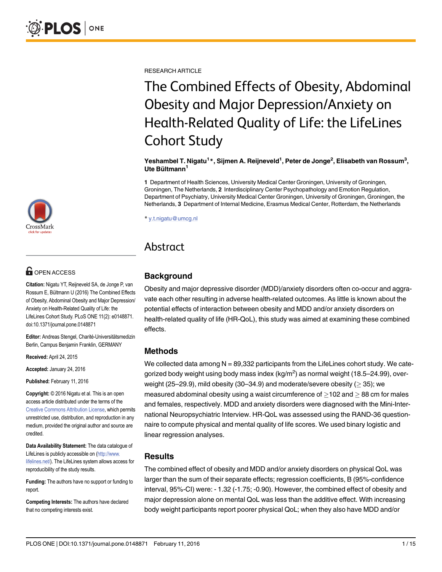RESEARCH ARTICLE

# The Combined Effects of Obesity, Abdominal Obesity and Major Depression/Anxiety on Health-Related Quality of Life: the LifeLines Cohort Study

#### Yeshambel T. Nigatu $^1 \ast$ , Sijmen A. Reijneveld $^1$ , Peter de Jonge $^2$ , Elisabeth van Rossum $^3,$ Ute Bültmann<sup>1</sup>

1 Department of Health Sciences, University Medical Center Groningen, University of Groningen, Groningen, The Netherlands, 2 Interdisciplinary Center Psychopathology and Emotion Regulation, Department of Psychiatry, University Medical Center Groningen, University of Groningen, Groningen, the Netherlands, 3 Department of Internal Medicine, Erasmus Medical Center, Rotterdam, the Netherlands

\* y.t.nigatu@umcg.nl

### Abstract

#### Background

Obesity and major depressive disorder (MDD)/anxiety disorders often co-occur and aggravate each other resulting in adverse health-related outcomes. As little is known about the potential effects of interaction between obesity and MDD and/or anxiety disorders on health-related quality of life (HR-QoL), this study was aimed at examining these combined effects.

#### Methods

We collected data among  $N = 89,332$  participants from the LifeLines cohort study. We categorized body weight using body mass index (kg/m $^2$ ) as normal weight (18.5–24.99), overweight (25–29.9), mild obesity (30–34.9) and moderate/severe obesity ( $\geq$  35); we measured abdominal obesity using a waist circumference of  $>$ 102 and  $>$  88 cm for males and females, respectively. MDD and anxiety disorders were diagnosed with the Mini-International Neuropsychiatric Interview. HR-QoL was assessed using the RAND-36 questionnaire to compute physical and mental quality of life scores. We used binary logistic and linear regression analyses.

#### **Results**

The combined effect of obesity and MDD and/or anxiety disorders on physical QoL was larger than the sum of their separate effects; regression coefficients, B (95%-confidence interval, 95%-CI) were: - 1.32 (-1.75; -0.90). However, the combined effect of obesity and major depression alone on mental QoL was less than the additive effect. With increasing body weight participants report poorer physical QoL; when they also have MDD and/or



## **OPEN ACCESS**

Citation: Nigatu YT, Reijneveld SA, de Jonge P, van Rossum E, Bültmann U (2016) The Combined Effects of Obesity, Abdominal Obesity and Major Depression/ Anxiety on Health-Related Quality of Life: the LifeLines Cohort Study. PLoS ONE 11(2): e0148871. doi:10.1371/journal.pone.0148871

Editor: Andreas Stengel, Charité-Universitätsmedizin Berlin, Campus Benjamin Franklin, GERMANY

Received: April 24, 2015

Accepted: January 24, 2016

Published: February 11, 2016

Copyright: © 2016 Nigatu et al. This is an open access article distributed under the terms of the [Creative Commons Attribution License,](http://creativecommons.org/licenses/by/4.0/) which permits unrestricted use, distribution, and reproduction in any medium, provided the original author and source are credited.

Data Availability Statement: The data catalogue of LifeLines is publicly accessible on [\(http://www.](http://www.lifelines.net/) [lifelines.net/](http://www.lifelines.net/)). The LifeLines system allows access for reproducibility of the study results.

Funding: The authors have no support or funding to report.

Competing Interests: The authors have declared that no competing interests exist.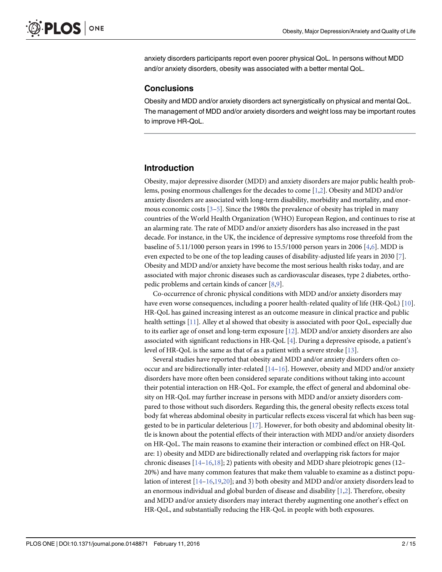<span id="page-1-0"></span>anxiety disorders participants report even poorer physical QoL. In persons without MDD and/or anxiety disorders, obesity was associated with a better mental QoL.

#### **Conclusions**

Obesity and MDD and/or anxiety disorders act synergistically on physical and mental QoL. The management of MDD and/or anxiety disorders and weight loss may be important routes to improve HR-QoL.

#### Introduction

Obesity, major depressive disorder (MDD) and anxiety disorders are major public health problems, posing enormous challenges for the decades to come [\[1,2\]](#page-12-0). Obesity and MDD and/or anxiety disorders are associated with long-term disability, morbidity and mortality, and enormous economic costs  $[3-5]$  $[3-5]$  $[3-5]$ . Since the 1980s the prevalence of obesity has tripled in many countries of the World Health Organization (WHO) European Region, and continues to rise at an alarming rate. The rate of MDD and/or anxiety disorders has also increased in the past decade. For instance, in the UK, the incidence of depressive symptoms rose threefold from the baseline of 5.11/1000 person years in 1996 to 15.5/1000 person years in 2006 [\[4,6](#page-12-0)]. MDD is even expected to be one of the top leading causes of disability-adjusted life years in 2030 [\[7](#page-12-0)]. Obesity and MDD and/or anxiety have become the most serious health risks today, and are associated with major chronic diseases such as cardiovascular diseases, type 2 diabetes, orthopedic problems and certain kinds of cancer [[8](#page-12-0),[9](#page-12-0)].

Co-occurrence of chronic physical conditions with MDD and/or anxiety disorders may have even worse consequences, including a poorer health-related quality of life (HR-QoL) [\[10\]](#page-12-0). HR-QoL has gained increasing interest as an outcome measure in clinical practice and public health settings [[11](#page-12-0)]. Alley et al showed that obesity is associated with poor QoL, especially due to its earlier age of onset and long-term exposure [[12](#page-12-0)]. MDD and/or anxiety disorders are also associated with significant reductions in HR-QoL [\[4\]](#page-12-0). During a depressive episode, a patient's level of HR-QoL is the same as that of as a patient with a severe stroke [\[13](#page-12-0)].

Several studies have reported that obesity and MDD and/or anxiety disorders often cooccur and are bidirectionally inter-related  $[14–16]$  $[14–16]$  $[14–16]$  $[14–16]$  $[14–16]$ . However, obesity and MDD and/or anxiety disorders have more often been considered separate conditions without taking into account their potential interaction on HR-QoL. For example, the effect of general and abdominal obesity on HR-QoL may further increase in persons with MDD and/or anxiety disorders compared to those without such disorders. Regarding this, the general obesity reflects excess total body fat whereas abdominal obesity in particular reflects excess visceral fat which has been suggested to be in particular deleterious  $[17]$  $[17]$  $[17]$ . However, for both obesity and abdominal obesity little is known about the potential effects of their interaction with MDD and/or anxiety disorders on HR-QoL. The main reasons to examine their interaction or combined effect on HR-QoL are: 1) obesity and MDD are bidirectionally related and overlapping risk factors for major chronic diseases  $[14–16,18]$  $[14–16,18]$  $[14–16,18]$  $[14–16,18]$  $[14–16,18]$ ; 2) patients with obesity and MDD share pleiotropic genes (12– 20%) and have many common features that make them valuable to examine as a distinct population of interest [[14](#page-12-0)–[16](#page-12-0)[,19,20\]](#page-13-0); and 3) both obesity and MDD and/or anxiety disorders lead to an enormous individual and global burden of disease and disability  $[1,2]$  $[1,2]$ . Therefore, obesity and MDD and/or anxiety disorders may interact thereby augmenting one another's effect on HR-QoL, and substantially reducing the HR-QoL in people with both exposures.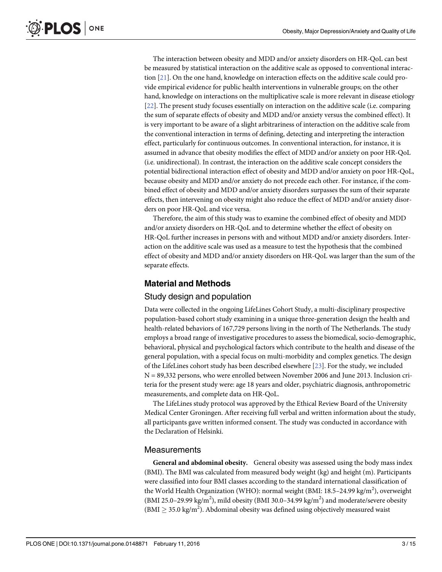<span id="page-2-0"></span>The interaction between obesity and MDD and/or anxiety disorders on HR-QoL can best be measured by statistical interaction on the additive scale as opposed to conventional interaction [[21](#page-13-0)]. On the one hand, knowledge on interaction effects on the additive scale could provide empirical evidence for public health interventions in vulnerable groups; on the other hand, knowledge on interactions on the multiplicative scale is more relevant in disease etiology [\[22](#page-13-0)]. The present study focuses essentially on interaction on the additive scale (i.e. comparing the sum of separate effects of obesity and MDD and/or anxiety versus the combined effect). It is very important to be aware of a slight arbitrariness of interaction on the additive scale from the conventional interaction in terms of defining, detecting and interpreting the interaction effect, particularly for continuous outcomes. In conventional interaction, for instance, it is assumed in advance that obesity modifies the effect of MDD and/or anxiety on poor HR-QoL (i.e. unidirectional). In contrast, the interaction on the additive scale concept considers the potential bidirectional interaction effect of obesity and MDD and/or anxiety on poor HR-QoL, because obesity and MDD and/or anxiety do not precede each other. For instance, if the combined effect of obesity and MDD and/or anxiety disorders surpasses the sum of their separate effects, then intervening on obesity might also reduce the effect of MDD and/or anxiety disorders on poor HR-QoL and vice versa.

Therefore, the aim of this study was to examine the combined effect of obesity and MDD and/or anxiety disorders on HR-QoL and to determine whether the effect of obesity on HR-QoL further increases in persons with and without MDD and/or anxiety disorders. Interaction on the additive scale was used as a measure to test the hypothesis that the combined effect of obesity and MDD and/or anxiety disorders on HR-QoL was larger than the sum of the separate effects.

#### Material and Methods

#### Study design and population

Data were collected in the ongoing LifeLines Cohort Study, a multi-disciplinary prospective population-based cohort study examining in a unique three-generation design the health and health-related behaviors of 167,729 persons living in the north of The Netherlands. The study employs a broad range of investigative procedures to assess the biomedical, socio-demographic, behavioral, physical and psychological factors which contribute to the health and disease of the general population, with a special focus on multi-morbidity and complex genetics. The design of the LifeLines cohort study has been described elsewhere [\[23\]](#page-13-0). For the study, we included N = 89,332 persons, who were enrolled between November 2006 and June 2013. Inclusion criteria for the present study were: age 18 years and older, psychiatric diagnosis, anthropometric measurements, and complete data on HR-QoL.

The LifeLines study protocol was approved by the Ethical Review Board of the University Medical Center Groningen. After receiving full verbal and written information about the study, all participants gave written informed consent. The study was conducted in accordance with the Declaration of Helsinki.

#### **Measurements**

General and abdominal obesity. General obesity was assessed using the body mass index (BMI). The BMI was calculated from measured body weight (kg) and height (m). Participants were classified into four BMI classes according to the standard international classification of the World Health Organization (WHO): normal weight (BMI: 18.5–24.99 kg/m<sup>2</sup>), overweight (BMI 25.0-29.99 kg/m<sup>2</sup>), mild obesity (BMI 30.0-34.99 kg/m<sup>2</sup>) and moderate/severe obesity (BMI  $\geq$  35.0 kg/m<sup>2</sup>). Abdominal obesity was defined using objectively measured waist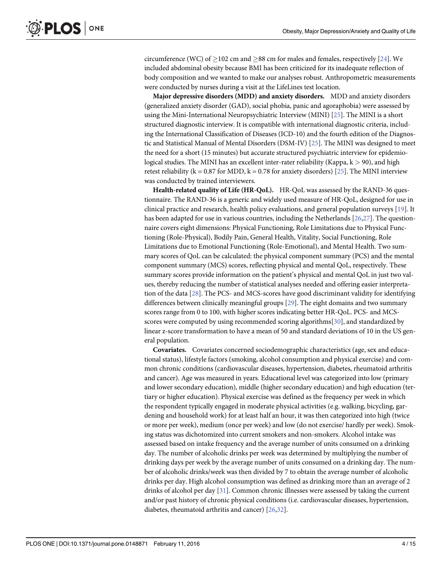<span id="page-3-0"></span>circumference (WC) of  $>102$  cm and  $>88$  cm for males and females, respectively [[24](#page-13-0)]. We included abdominal obesity because BMI has been criticized for its inadequate reflection of body composition and we wanted to make our analyses robust. Anthropometric measurements were conducted by nurses during a visit at the LifeLines test location.

Major depressive disorders (MDD) and anxiety disorders. MDD and anxiety disorders (generalized anxiety disorder (GAD), social phobia, panic and agoraphobia) were assessed by using the Mini-International Neuropsychiatric Interview (MINI) [\[25\]](#page-13-0). The MINI is a short structured diagnostic interview. It is compatible with international diagnostic criteria, including the International Classification of Diseases (ICD-10) and the fourth edition of the Diagnostic and Statistical Manual of Mental Disorders (DSM-IV) [\[25](#page-13-0)]. The MINI was designed to meet the need for a short (15 minutes) but accurate structured psychiatric interview for epidemiological studies. The MINI has an excellent inter-rater reliability (Kappa,  $k > 90$ ), and high retest reliability ( $k = 0.87$  for MDD,  $k = 0.78$  for anxiety disorders) [\[25\]](#page-13-0). The MINI interview was conducted by trained interviewers.

Health-related quality of Life (HR-QoL). HR-QoL was assessed by the RAND-36 questionnaire. The RAND-36 is a generic and widely used measure of HR-QoL, designed for use in clinical practice and research, health policy evaluations, and general population surveys [[19](#page-13-0)]. It has been adapted for use in various countries, including the Netherlands [\[26,27\]](#page-13-0). The questionnaire covers eight dimensions: Physical Functioning, Role Limitations due to Physical Functioning (Role-Physical), Bodily Pain, General Health, Vitality, Social Functioning, Role Limitations due to Emotional Functioning (Role-Emotional), and Mental Health. Two summary scores of QoL can be calculated: the physical component summary (PCS) and the mental component summary (MCS) scores, reflecting physical and mental QoL, respectively. These summary scores provide information on the patient's physical and mental QoL in just two values, thereby reducing the number of statistical analyses needed and offering easier interpretation of the data [[28](#page-13-0)]. The PCS- and MCS-scores have good discriminant validity for identifying differences between clinically meaningful groups [\[29\]](#page-13-0). The eight domains and two summary scores range from 0 to 100, with higher scores indicating better HR-QoL. PCS- and MCS-scores were computed by using recommended scoring algorithms[[30](#page-13-0)], and standardized by linear z-score transformation to have a mean of 50 and standard deviations of 10 in the US general population.

Covariates. Covariates concerned sociodemographic characteristics (age, sex and educational status), lifestyle factors (smoking, alcohol consumption and physical exercise) and common chronic conditions (cardiovascular diseases, hypertension, diabetes, rheumatoid arthritis and cancer). Age was measured in years. Educational level was categorized into low (primary and lower secondary education), middle (higher secondary education) and high education (tertiary or higher education). Physical exercise was defined as the frequency per week in which the respondent typically engaged in moderate physical activities (e.g. walking, bicycling, gardening and household work) for at least half an hour, it was then categorized into high (twice or more per week), medium (once per week) and low (do not exercise/ hardly per week). Smoking status was dichotomized into current smokers and non-smokers. Alcohol intake was assessed based on intake frequency and the average number of units consumed on a drinking day. The number of alcoholic drinks per week was determined by multiplying the number of drinking days per week by the average number of units consumed on a drinking day. The number of alcoholic drinks/week was then divided by 7 to obtain the average number of alcoholic drinks per day. High alcohol consumption was defined as drinking more than an average of 2 drinks of alcohol per day [[31\]](#page-13-0). Common chronic illnesses were assessed by taking the current and/or past history of chronic physical conditions (i.e. cardiovascular diseases, hypertension, diabetes, rheumatoid arthritis and cancer) [[26](#page-13-0),[32](#page-13-0)].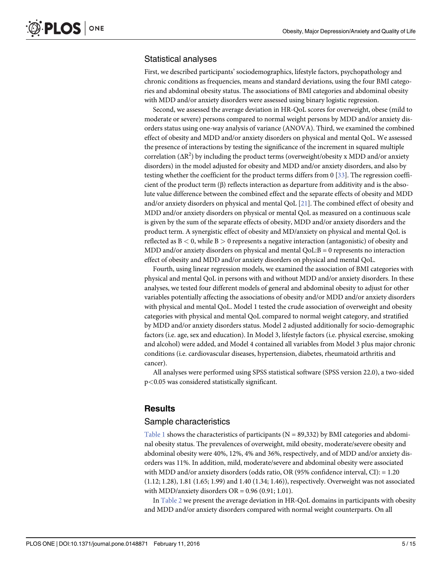#### <span id="page-4-0"></span>Statistical analyses

First, we described participants' sociodemographics, lifestyle factors, psychopathology and chronic conditions as frequencies, means and standard deviations, using the four BMI categories and abdominal obesity status. The associations of BMI categories and abdominal obesity with MDD and/or anxiety disorders were assessed using binary logistic regression.

Second, we assessed the average deviation in HR-QoL scores for overweight, obese (mild to moderate or severe) persons compared to normal weight persons by MDD and/or anxiety disorders status using one-way analysis of variance (ANOVA). Third, we examined the combined effect of obesity and MDD and/or anxiety disorders on physical and mental QoL. We assessed the presence of interactions by testing the significance of the increment in squared multiple correlation  $( \Delta R^2 )$  by including the product terms (overweight/obesity x MDD and/or anxiety disorders) in the model adjusted for obesity and MDD and/or anxiety disorders, and also by testing whether the coefficient for the product terms differs from 0 [\[33\]](#page-13-0). The regression coefficient of the product term  $(\beta)$  reflects interaction as departure from additivity and is the absolute value difference between the combined effect and the separate effects of obesity and MDD and/or anxiety disorders on physical and mental QoL [[21](#page-13-0)]. The combined effect of obesity and MDD and/or anxiety disorders on physical or mental QoL as measured on a continuous scale is given by the sum of the separate effects of obesity, MDD and/or anxiety disorders and the product term. A synergistic effect of obesity and MD/anxiety on physical and mental QoL is reflected as  $B < 0$ , while  $B > 0$  represents a negative interaction (antagonistic) of obesity and MDD and/or anxiety disorders on physical and mental  $QoL:B = 0$  represents no interaction effect of obesity and MDD and/or anxiety disorders on physical and mental QoL.

Fourth, using linear regression models, we examined the association of BMI categories with physical and mental QoL in persons with and without MDD and/or anxiety disorders. In these analyses, we tested four different models of general and abdominal obesity to adjust for other variables potentially affecting the associations of obesity and/or MDD and/or anxiety disorders with physical and mental QoL. Model 1 tested the crude association of overweight and obesity categories with physical and mental QoL compared to normal weight category, and stratified by MDD and/or anxiety disorders status. Model 2 adjusted additionally for socio-demographic factors (i.e. age, sex and education). In Model 3, lifestyle factors (i.e. physical exercise, smoking and alcohol) were added, and Model 4 contained all variables from Model 3 plus major chronic conditions (i.e. cardiovascular diseases, hypertension, diabetes, rheumatoid arthritis and cancer).

All analyses were performed using SPSS statistical software (SPSS version 22.0), a two-sided p<0.05 was considered statistically significant.

#### **Results**

#### Sample characteristics

[Table 1](#page-5-0) shows the characteristics of participants ( $N = 89,332$ ) by BMI categories and abdominal obesity status. The prevalences of overweight, mild obesity, moderate/severe obesity and abdominal obesity were 40%, 12%, 4% and 36%, respectively, and of MDD and/or anxiety disorders was 11%. In addition, mild, moderate/severe and abdominal obesity were associated with MDD and/or anxiety disorders (odds ratio, OR (95% confidence interval, CI): = 1.20 (1.12; 1.28), 1.81 (1.65; 1.99) and 1.40 (1.34; 1.46)), respectively. Overweight was not associated with MDD/anxiety disorders  $OR = 0.96$  (0.91; 1.01).

In [Table 2](#page-6-0) we present the average deviation in HR-QoL domains in participants with obesity and MDD and/or anxiety disorders compared with normal weight counterparts. On all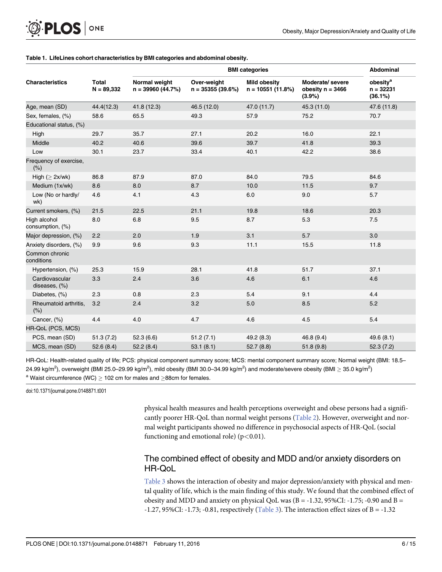<span id="page-5-0"></span>PLOS ONE

[Table 1.](#page-4-0) LifeLines cohort characteristics by BMI categories and abdominal obesity.

|                                  |                              |                                     |                                   | <b>Abdominal</b>                          |                                                  |                                                |
|----------------------------------|------------------------------|-------------------------------------|-----------------------------------|-------------------------------------------|--------------------------------------------------|------------------------------------------------|
| <b>Characteristics</b>           | <b>Total</b><br>$N = 89,332$ | Normal weight<br>$n = 39960(44.7%)$ | Over-weight<br>$n = 35355(39.6%)$ | <b>Mild obesity</b><br>$n = 10551(11.8%)$ | Moderate/ severe<br>obesity $n = 3466$<br>(3.9%) | obesity <sup>a</sup><br>$n = 32231$<br>(36.1%) |
| Age, mean (SD)                   | 44.4(12.3)                   | 41.8 (12.3)                         | 46.5 (12.0)                       | 47.0 (11.7)                               | 45.3 (11.0)                                      | 47.6 (11.8)                                    |
| Sex, females, (%)                | 58.6                         | 65.5                                | 49.3                              | 57.9                                      | 75.2                                             | 70.7                                           |
| Educational status, (%)          |                              |                                     |                                   |                                           |                                                  |                                                |
| High                             | 29.7                         | 35.7                                | 27.1                              | 20.2                                      | 16.0                                             | 22.1                                           |
| Middle                           | 40.2                         | 40.6                                | 39.6                              | 39.7                                      | 41.8                                             | 39.3                                           |
| Low                              | 30.1                         | 23.7                                | 33.4                              | 40.1                                      | 42.2                                             | 38.6                                           |
| Frequency of exercise,<br>(% )   |                              |                                     |                                   |                                           |                                                  |                                                |
| High $(\geq 2x/wk)$              | 86.8                         | 87.9                                | 87.0                              | 84.0                                      | 79.5                                             | 84.6                                           |
| Medium (1x/wk)                   | 8.6                          | 8.0                                 | 8.7                               | 10.0                                      | 11.5                                             | 9.7                                            |
| Low (No or hardly/<br>wk)        | 4.6                          | 4.1                                 | 4.3                               | 6.0                                       | 9.0                                              | 5.7                                            |
| Current smokers, (%)             | 21.5                         | 22.5                                | 21.1                              | 19.8                                      | 18.6                                             | 20.3                                           |
| High alcohol<br>consumption, (%) | 8.0                          | 6.8                                 | 9.5                               | 8.7                                       | 5.3                                              | 7.5                                            |
| Major depression, (%)            | 2.2                          | 2.0                                 | 1.9                               | 3.1                                       | 5.7                                              | 3.0                                            |
| Anxiety disorders, (%)           | 9.9                          | 9.6                                 | 9.3                               | 11.1                                      | 15.5                                             | 11.8                                           |
| Common chronic<br>conditions     |                              |                                     |                                   |                                           |                                                  |                                                |
| Hypertension, (%)                | 25.3                         | 15.9                                | 28.1                              | 41.8                                      | 51.7                                             | 37.1                                           |
| Cardiovascular<br>diseases, (%)  | 3.3                          | 2.4                                 | 3.6                               | 4.6                                       | 6.1                                              | 4.6                                            |
| Diabetes, (%)                    | 2.3                          | 0.8                                 | 2.3                               | 5.4                                       | 9.1                                              | 4.4                                            |
| Rheumatoid arthritis,<br>(% )    | 3.2                          | 2.4                                 | 3.2                               | $5.0$                                     | 8.5                                              | 5.2                                            |
| Cancer, (%)                      | 4.4                          | 4.0                                 | 4.7                               | 4.6                                       | 4.5                                              | 5.4                                            |
| HR-QoL (PCS, MCS)                |                              |                                     |                                   |                                           |                                                  |                                                |
| PCS, mean (SD)                   | 51.3(7.2)                    | 52.3(6.6)                           | 51.2(7.1)                         | 49.2 (8.3)                                | 46.8(9.4)                                        | 49.6(8.1)                                      |
| MCS, mean (SD)                   | 52.6(8.4)                    | 52.2(8.4)                           | 53.1(8.1)                         | 52.7(8.8)                                 | 51.8(9.8)                                        | 52.3(7.2)                                      |

HR-QoL: Health-related quality of life; PCS: physical component summary score; MCS: mental component summary score; Normal weight (BMI: 18.5– 24.99 kg/m<sup>2</sup>), overweight (BMI 25.0–29.99 kg/m<sup>2</sup>), mild obesity (BMI 30.0–34.99 kg/m<sup>2</sup>) and moderate/severe obesity (BMI  $\geq$  35.0 kg/m<sup>2</sup>) <sup>a</sup> Waist circumference (WC)  $\geq$  102 cm for males and  $\geq$ 88cm for females.

doi:10.1371/journal.pone.0148871.t001

physical health measures and health perceptions overweight and obese persons had a significantly poorer HR-QoL than normal weight persons [\(Table 2](#page-6-0)). However, overweight and normal weight participants showed no difference in psychosocial aspects of HR-QoL (social functioning and emotional role) ( $p < 0.01$ ).

### The combined effect of obesity and MDD and/or anxiety disorders on HR-QoL

[Table 3](#page-7-0) shows the interaction of obesity and major depression/anxiety with physical and mental quality of life, which is the main finding of this study. We found that the combined effect of obesity and MDD and anxiety on physical QoL was (B = -1.32, 95%CI: -1.75; -0.90 and B = -1.27, 95%CI: -1.73; -0.81, respectively [\(Table 3](#page-7-0)). The interaction effect sizes of B = -1.32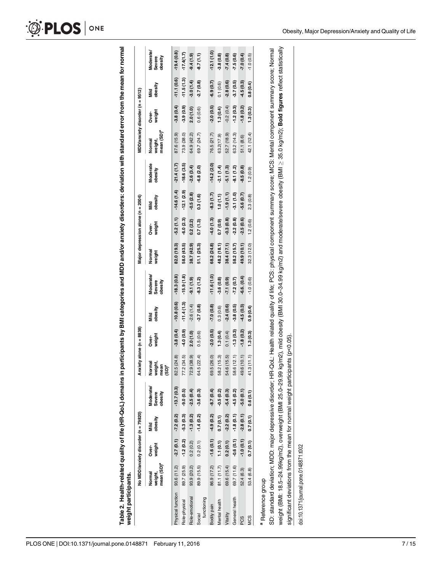<span id="page-6-0"></span>Table 2. Health-related quality of life (HR-QoL) domains in participants by BMI categories and MDD and/or anxiety disorders: deviation with standard error from the mean for normal<br>weight participants. [Table](#page-4-0) 2. Health-related quality of life (HR-QoL) domains in participants by BMI categories and MDD and/or anxiety disorders: deviation with standard error from the mean for normal weight participants.

| weight<br>Över-<br>mean (SD) <sup>a</sup><br>93.6 (11.2)<br>weight,<br>Normal<br>Physical function |                                     | No MDD/anxiety disorder (n = 79820) |                                       | nxiety alone (n = 8838) |                        |                                |                  | Major depression alone (n = 2004) |                 |                     | MDD/anxiety disorder (n = 9512)             |                 |                 |                                |
|----------------------------------------------------------------------------------------------------|-------------------------------------|-------------------------------------|---------------------------------------|-------------------------|------------------------|--------------------------------|------------------|-----------------------------------|-----------------|---------------------|---------------------------------------------|-----------------|-----------------|--------------------------------|
|                                                                                                    | obesity<br>Mild                     | Moderate/<br>Severe<br>obesity      | reight,<br>lormal<br>nean<br>$(SD)^a$ | weight<br>Över-         | obesity<br>nild<br>Mil | Moderate/<br>obesity<br>Severe | Normal<br>weight | weight<br>Över-                   | obesity<br>Mild | Moderate<br>obesity | mean (SD) <sup>a</sup><br>Normal<br>weight, | weight<br>Över- | obesity<br>Mild | Moderate/<br>Severe<br>obesity |
|                                                                                                    | $-7.2(0.2)$<br>$-2.7(0.1)$          | $-13.7(0.3)$                        | .5(24.8)<br>3                         | $-3.8(0.4)$             | $-10.8(0.6)$           | $-18.3(0.8)$                   | 82.0 (19.3)      | $-5.2(1.1)$                       | $-14.6(1.4)$    | $-21.4(1.7)$        | 87.6 (15.9)                                 | $-3.8(0.4)$     | $-11.1(0.6)$    | $-19.4(0.8)$                   |
| $-1.2(0.2)$<br>89.7 (25.9)<br>Role-physical                                                        | $-5.3(0.3)$                         | $-9.0(0.5)$                         | (34.5)<br>17                          | 4.0(0.9)                | $-11.4(1.3)$           | $-15.9(1.8)$                   | 58.0 (43.5)      | $-6.0(2.3)$                       | $-12.1(2.9)$    | $-18.6(3.5)$        | 73.9 (38.0)                                 | $-3.9(0.9)$     | $-11.5(1.3)$    | $-17.4(1.7)$                   |
| 0.2(0.2)<br>93.9 (20.2)<br>Role-emotional                                                          | $-1.3(0.2)$                         | $-2.5(0.4)$                         | 0.86(38.9)<br>72                      | 2.0(1.0)                | $-2.6(1.4)$            | $-9.1(0.9)$                    | 38.7 (42.9)      | 0.2(2.2)                          | $-0.5(2.8)$     | $-2.6(3.4)$         | 64.9 (42.2)                                 | 2.0(1.0)        | $-3.0(1.4)$     | $(6.1)$ $\mu$ <sup>6-</sup>    |
| 0.2(0.1)<br>89.9 (15.5)<br>functioning<br>Social                                                   | $-1.4(0.2)$                         | $-3.6(0.3)$                         | 4.5(22.4)<br>2                        | 0.5(0.6)                | $-2.7(0.8)$            | $-8.3(1.2)$                    | 51.1 (25.3)      | 0.7(1.3)                          | 0.3(1.6)        | $-6.8(2.0)$         | 69.7 (24.7)                                 | 0.6(0.6)        | $-2.7(0.8)$     | $-8.7(1.1)$                    |
| 86.9 (17.2)<br>Bodily pain                                                                         | $-1.6(0.1)$ $-4.9(0.2)$ $-8.7(0.4)$ |                                     | 5(26.0)<br><u>ဖိ</u>                  | $-2.0(0.5)$             | 7.0(8.0)               | $-11.6(1.0)$                   | 68.2(24.8)       | $-4.0(1.3)$                       | $-8.3(1.7)$     | $-14.2(2.0)$        | 76.5(21.7)                                  | $-2.0(0.5)$     | $-6.9(0.7)$     | $-12.1(1.0)$                   |
| 81.1(11.7)<br>Mental health                                                                        | 0.7(0.1)<br>1.1(0.1)                | $-0.5(0.2)$                         | (15.3)<br>s,                          | 1.3(0.4)                | 0.3(0.6)               | $-3.6(0.8)$                    | 48.2 (18.1)      | $(6.0)$ $L_0$                     | 1.0(1.1)        | $-2.1(1.4)$         | 63.2(17.9)                                  | 1.3(0.4)        | 0.1(0.6)        | $-3.8(0.8)$                    |
| 69.6 (15.4)<br>Vitality                                                                            | $-2.2(0.2)$<br>0.2(0.1)             | $-5.4(0.3)$                         | .6(15.5)<br>54                        | 0.1(0.4)                | $-2.4(0.6)$            | $(6.0) 1.7 -$                  | 38.4 (17.1)      | $-0.3(0.8)$                       | $-1.9(1.1)$     | $-5.1(1.3)$         | 52.7 (18.9)                                 | $-0.2(0.4)$     | $-2.8(0.6)$     | $-7.4(0.8)$                    |
| 69.7 (11.6)<br>General health                                                                      | $-1.8(0.1)$<br>$-0.6(0.1)$          | $-4.5(0.2)$                         | 1.6(12.1)<br>s,                       | $-1.3(0.3)$             | $-3.8(0.5)$            | $-7.2(0.7)$                    | 58.2 (15.7)      | $-2.2(0.8)$                       | $-3.1(1.0)$     | $-8.1(1.2)$         | 63.2 (14.3)                                 | $-1.2(0.3)$     | $-3.7(0.5)$     | $-7.5(0.6)$                    |
| 52.4 (6.3)<br>PCS                                                                                  | $-2.8(0.1)$<br>$-1.0(0.1)$          | $-5.0(0.1)$                         | .6(10.1)<br>₩                         | $-1.8(0.2)$             | $-4.5(0.3)$            | $-6.6(0.4)$                    | 49.9 (10.1)      | $-2.5(0.6)$                       | $-5.6(0.7)$     | $-8.5(0.8)$         | 51.1 (8.6)                                  | $-1.8(0.2)$     | $-4.5(0.3)$     | $-7.0(0.4)$                    |
| 53.4 (6.8)<br>MC <sub>S</sub>                                                                      | 0.7(0.1)<br>0.7(0.1)                | 0.6(0.1)                            | .3(11.1)                              | 1.3(0.3)                | 0.9(0.4)               | $-1.0(0.6)$                    | 32.3 (12.0)      | 1.2(0.6)                          | 2.3(0.8)        | (0.9)               | 42.1 (12.4)                                 | 1.3(0.3)        | 0.8(0.4)        | $-1.0(0.5)$                    |

weight (BMI: 18.5-24.99kg/m2), overweight (BMI 25.0-29.99 kg/m2), mild obesity (BMI 30.0-34.99 kg/m2) and moderate/severe obesity (BMI ≥ 35.0 kg/m2); Bold figures reflect statistically  $\geq$  35.0 kg/m2); Bold figures reflect statistically weight (BMI: 18.5–24.99kg/m2), overweight (BMI 25.0–29.99 kg/m2), mild obesity (BMI 30.0–34.99 kg/m2) and moderate/severe obesity (BMI significant deviations from the mean for normal weight participants (p<0.05). significant deviations from the mean for normal weight participants (p<0.05).

doi:10.1371/journal.pone.0148871.t002 doi:10.1371/journal.pone.0148871.t002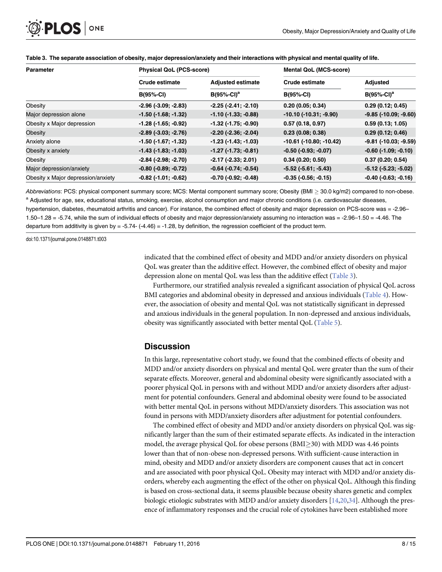<span id="page-7-0"></span>

| <b>Parameter</b>                   | <b>Physical QoL (PCS-score)</b> |                               | <b>Mental QoL (MCS-score)</b>    |                                |  |
|------------------------------------|---------------------------------|-------------------------------|----------------------------------|--------------------------------|--|
|                                    | Crude estimate                  | <b>Adjusted estimate</b>      | <b>Crude estimate</b>            | Adjusted                       |  |
|                                    | <b>B(95%-CI)</b>                | $B(95%-Cl)a$                  | $B(95%-Cl)$                      | $B(95%-Cl)a$                   |  |
| Obesity                            | $-2.96$ ( $-3.09$ ; $-2.83$ )   | $-2.25(-2.41; -2.10)$         | 0.20(0.05; 0.34)                 | 0.29(0.12; 0.45)               |  |
| Major depression alone             | $-1.50$ ( $-1.68$ ; $-1.32$ )   | $-1.10(-1.33; -0.88)$         | $-10.10(-10.31,-9.90)$           | $-9.85$ ( $-10.09$ ; $-9.60$ ) |  |
| Obesity x Major depression         | $-1.28$ ( $-1.65$ ; $-0.92$ )   | $-1.32$ ( $-1.75$ ; $-0.90$ ) | 0.57(0.18, 0.97)                 | 0.59(0.13; 1.05)               |  |
| Obesity                            | $-2.89$ $(-3.03; -2.76)$        | $-2.20$ ( $-2.36$ ; $-2.04$ ) | 0.23(0.08; 0.38)                 | 0.29(0.12; 0.46)               |  |
| Anxiety alone                      | -1.50 (-1.67; -1.32)            | $-1.23$ ( $-1.43$ ; $-1.03$ ) | $-10.61$ ( $-10.80$ ; $-10.42$ ) | $-9.81$ ( $-10.03$ ; $-9.59$ ) |  |
| Obesity x anxiety                  | $-1.43$ ( $-1.83$ ; $-1.03$ )   | $-1.27$ ( $-1.73$ ; $-0.81$ ) | $-0.50$ ( $-0.93$ ; $-0.07$ )    | $-0.60$ ( $-1.09$ ; $-0.10$ )  |  |
| Obesity                            | $-2.84$ ( $-2.98$ ; $-2.70$ )   | $-2.17(-2.33; 2.01)$          | 0.34(0.20; 0.50)                 | 0.37(0.20; 0.54)               |  |
| Major depression/anxiety           | $-0.80$ $(-0.89; -0.72)$        | $-0.64$ $(-0.74; -0.54)$      | $-5.52$ ( $-5.61$ ; $-5.43$ )    | $-5.12$ ( $-5.23$ ; $-5.02$ )  |  |
| Obesity x Major depression/anxiety | $-0.82$ ( $-1.01$ ; $-0.62$ )   | $-0.70$ ( $-0.92$ ; $-0.48$ ) | $-0.35$ $(-0.56; -0.15)$         | $-0.40$ $(-0.63; -0.16)$       |  |

#### [Table 3.](#page-5-0) The separate association of obesity, major depression/anxiety and their interactions with physical and mental quality of life.

Abbreviations: PCS: physical component summary score; MCS: Mental component summary score; Obesity (BMI  $\geq$  30.0 kg/m2) compared to non-obese. <sup>a</sup> Adjusted for age, sex, educational status, smoking, exercise, alcohol consumption and major chronic conditions (i.e. cardiovascular diseases, hypertension, diabetes, rheumatoid arthritis and cancer). For instance, the combined effect of obesity and major depression on PCS-score was = -2.96– 1.50–1.28 = -5.74, while the sum of individual effects of obesity and major depression/anxiety assuming no interaction was = -2.96–1.50 = -4.46. The departure from additivity is given by = -5.74- (-4.46) = -1.28, by definition, the regression coefficient of the product term.

doi:10.1371/journal.pone.0148871.t003

indicated that the combined effect of obesity and MDD and/or anxiety disorders on physical QoL was greater than the additive effect. However, the combined effect of obesity and major depression alone on mental QoL was less than the additive effect (Table 3).

Furthermore, our stratified analysis revealed a significant association of physical QoL across BMI categories and abdominal obesity in depressed and anxious individuals ([Table 4\)](#page-8-0). However, the association of obesity and mental QoL was not statistically significant in depressed and anxious individuals in the general population. In non-depressed and anxious individuals, obesity was significantly associated with better mental QoL ([Table 5\)](#page-9-0).

#### **Discussion**

In this large, representative cohort study, we found that the combined effects of obesity and MDD and/or anxiety disorders on physical and mental QoL were greater than the sum of their separate effects. Moreover, general and abdominal obesity were significantly associated with a poorer physical QoL in persons with and without MDD and/or anxiety disorders after adjustment for potential confounders. General and abdominal obesity were found to be associated with better mental QoL in persons without MDD/anxiety disorders. This association was not found in persons with MDD/anxiety disorders after adjustment for potential confounders.

The combined effect of obesity and MDD and/or anxiety disorders on physical QoL was significantly larger than the sum of their estimated separate effects. As indicated in the interaction model, the average physical QoL for obese persons  $(BMI>30)$  with MDD was 4.46 points lower than that of non-obese non-depressed persons. With sufficient-cause interaction in mind, obesity and MDD and/or anxiety disorders are component causes that act in concert and are associated with poor physical QoL. Obesity may interact with MDD and/or anxiety disorders, whereby each augmenting the effect of the other on physical QoL. Although this finding is based on cross-sectional data, it seems plausible because obesity shares genetic and complex biologic etiologic substrates with MDD and/or anxiety disorders [\[14](#page-12-0)[,20,34\]](#page-13-0). Although the presence of inflammatory responses and the crucial role of cytokines have been established more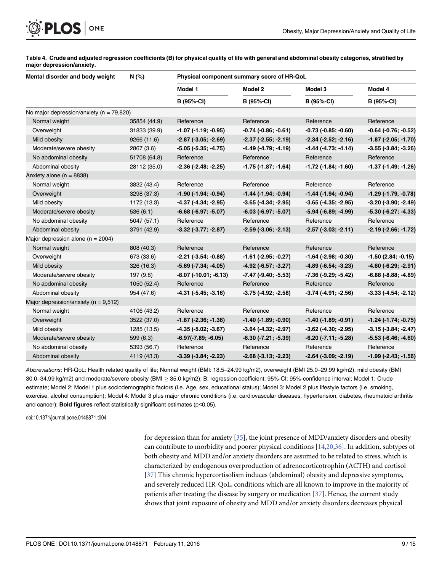<span id="page-8-0"></span>

[Table 4.](#page-7-0) Crude and adjusted regression coefficients (B) for physical quality of life with general and abdominal obesity categories, stratified by major depression/anxiety.

| Mental disorder and body weight              | N (%)        | Physical component summary score of HR-QoL |                               |                               |                               |  |
|----------------------------------------------|--------------|--------------------------------------------|-------------------------------|-------------------------------|-------------------------------|--|
|                                              |              | Model 1                                    | Model 2<br><b>B</b> (95%-CI)  | Model 3<br>B (95%-CI)         | Model 4                       |  |
|                                              |              | B (95%-CI)                                 |                               |                               | B (95%-CI)                    |  |
| No major depression/anxiety ( $n = 79,820$ ) |              |                                            |                               |                               |                               |  |
| Normal weight                                | 35854 (44.9) | Reference                                  | Reference                     | Reference                     | Reference                     |  |
| Overweight                                   | 31833 (39.9) | $-1.07$ ( $-1.19$ ; $-0.95$ )              | $-0.74$ $(-0.86; -0.61)$      | $-0.73$ $(-0.85; -0.60)$      | $-0.64$ $(-0.76; -0.52)$      |  |
| Mild obesity                                 | 9266 (11.6)  | $-2.87$ ( $-3.05$ ; $-2.69$ )              | $-2.37$ $(-2.55; -2.19)$      | $-2.34$ $(-2.52; -2.16)$      | $-1.87$ ( $-2.05$ ; $-1.70$ ) |  |
| Moderate/severe obesity                      | 2867 (3.6)   | $-5.05$ ( $-5.35$ ; $-4.75$ )              | $-4.49(-4.79; -4.19)$         | $-4.44$ $(-4.73; -4.14)$      | $-3.55$ $(-3.84; -3.26)$      |  |
| No abdominal obesity                         | 51708 (64.8) | Reference                                  | Reference                     | Reference                     | Reference                     |  |
| Abdominal obesity                            | 28112 (35.0) | $-2.36$ ( $-2.48$ ; $-2.25$ )              | $-1.75$ ( $-1.87$ ; $-1.64$ ) | -1.72 (-1.84; -1.60)          | $-1.37$ ( $-1.49$ ; $-1.26$ ) |  |
| Anxiety alone ( $n = 8838$ )                 |              |                                            |                               |                               |                               |  |
| Normal weight                                | 3832 (43.4)  | Reference                                  | Reference                     | Reference                     | Reference                     |  |
| Overweight                                   | 3298 (37.3)  | $-1.90$ ( $-1.94$ ; $-0.94$ )              | $-1.44$ ( $-1.94$ ; $-0.94$ ) | $-1.44$ ( $-1.94$ ; $-0.94$ ) | $-1.29$ $(-1.79, -0.78)$      |  |
| Mild obesity                                 | 1172 (13.3)  | $-4.37$ $(-4.34; -2.95)$                   | $-3.65$ $(-4.34; -2.95)$      | $-3.65$ ( $-4.35$ ; $-2.95$ ) | $-3.20$ $(-3.90; -2.49)$      |  |
| Moderate/severe obesity                      | 536(6.1)     | $-6.68$ $(-6.97; -5.07)$                   | $-6.03$ $(-6.97; -5.07)$      | $-5.94$ ( $-6.89$ ; $-4.99$ ) | $-5.30$ $(-6.27; -4.33)$      |  |
| No abdominal obesity                         | 5047 (57.1)  | Reference                                  | Reference                     | Reference                     | Reference                     |  |
| Abdominal obesity                            | 3791 (42.9)  | $-3.32$ $(-3.77; -2.87)$                   | $-2.59$ $(-3.06; -2.13)$      | $-2.57$ $(-3.03; -2.11)$      | $-2.19(-2.66;-1.72)$          |  |
| Major depression alone ( $n = 2004$ )        |              |                                            |                               |                               |                               |  |
| Normal weight                                | 808 (40.3)   | Reference                                  | Reference                     | Reference                     | Reference                     |  |
| Overweight                                   | 673 (33.6)   | $-2.21$ $(-3.54; -0.88)$                   | $-1.61$ ( $-2.95$ ; $-0.27$ ) | $-1.64$ ( $-2.98$ ; $-0.30$ ) | $-1.50(2.84; -0.15)$          |  |
| Mild obesity                                 | 326 (16.3)   | $-5.69$ ( $-7.34$ ; $-4.05$ )              | $-4.92$ ( $-6.57$ ; $-3.27$ ) | $-4.89$ ( $-6.54$ ; $-3.23$ ) | $-4.60$ ( $-6.29$ ; $-2.91$ ) |  |
| Moderate/severe obesity                      | 197 (9.8)    | $-8.07$ ( $-10.01$ ; $-6.13$ )             | $-7.47$ ( $-9.40$ ; $-5.53$ ) | $-7.36$ ( $-9.29$ ; $-5.42$ ) | $-6.88(-8.88,-4.89)$          |  |
| No abdominal obesity                         | 1050 (52.4)  | Reference                                  | Reference                     | Reference                     | Reference                     |  |
| Abdominal obesity                            | 954 (47.6)   | $-4.31$ $(-5.45; -3.16)$                   | $-3.75$ $(-4.92; -2.58)$      | $-3.74$ ( $-4.91$ ; $-2.56$ ) | $-3.33(-4.54; -2.12)$         |  |
| Major depression/anxiety ( $n = 9,512$ )     |              |                                            |                               |                               |                               |  |
| Normal weight                                | 4106 (43.2)  | Reference                                  | Reference                     | Reference                     | Reference                     |  |
| Overweight                                   | 3522 (37.0)  | $-1.87$ ( $-2.36$ ; $-1.38$ )              | $-1.40$ ( $-1.89$ ; $-0.90$ ) | $-1.40$ ( $-1.89$ ; $-0.91$ ) | $-1.24$ ( $-1.74$ ; $-0.75$ ) |  |
| Mild obesity                                 | 1285 (13.5)  | $-4.35$ ( $-5.02$ ; $-3.67$ )              | $-3.64$ ( $-4.32$ ; $-2.97$ ) | $-3.62$ ( $-4.30$ ; $-2.95$ ) | $-3.15(-3.84,-2.47)$          |  |
| Moderate/severe obesity                      | 599 (6.3)    | $-6.97(-7.89; -6.05)$                      | $-6.30$ $(-7.21; -5.39)$      | $-6.20$ $(-7.11; -5.28)$      | $-5.53$ $(-6.46; -4.60)$      |  |
| No abdominal obesity                         | 5393 (56.7)  | Reference                                  | Reference                     | Reference                     | Reference                     |  |
| Abdominal obesity                            | 4119 (43.3)  | $-3.39$ $(-3.84; -2.23)$                   | $-2.68$ $(-3.13; -2.23)$      | $-2.64$ $(-3.09; -2.19)$      | $-1.99$ ( $-2.43$ ; $-1.56$ ) |  |

Abbreviations: HR-QoL: Health related quality of life; Normal weight (BMI: 18.5–24.99 kg/m2), overweight (BMI 25.0–29.99 kg/m2), mild obesity (BMI 30.0-34.99 kg/m2) and moderate/severe obesity (BMI  $\geq$  35.0 kg/m2); B; regression coefficient; 95%-CI: 95%-confidence interval; Model 1: Crude estimate; Model 2: Model 1 plus sociodemographic factors (i.e. Age, sex, educational status); Model 3: Model 2 plus lifestyle factors (i.e. smoking, exercise, alcohol consumption); Model 4: Model 3 plus major chronic conditions (i.e. cardiovascular diseases, hypertension, diabetes, rheumatoid arthritis and cancer); Bold figures reflect statistically significant estimates (p<0.05).

doi:10.1371/journal.pone.0148871.t004

for depression than for anxiety  $[35]$ , the joint presence of MDD/anxiety disorders and obesity can contribute to morbidity and poorer physical conditions [\[14](#page-12-0)[,20,36\]](#page-13-0). In addition, subtypes of both obesity and MDD and/or anxiety disorders are assumed to be related to stress, which is characterized by endogenous overproduction of adrenocorticotrophin (ACTH) and cortisol [\[37](#page-13-0)] This chronic hypercortisolism induces (abdominal) obesity and depressive symptoms, and severely reduced HR-QoL, conditions which are all known to improve in the majority of patients after treating the disease by surgery or medication [[37](#page-13-0)]. Hence, the current study shows that joint exposure of obesity and MDD and/or anxiety disorders decreases physical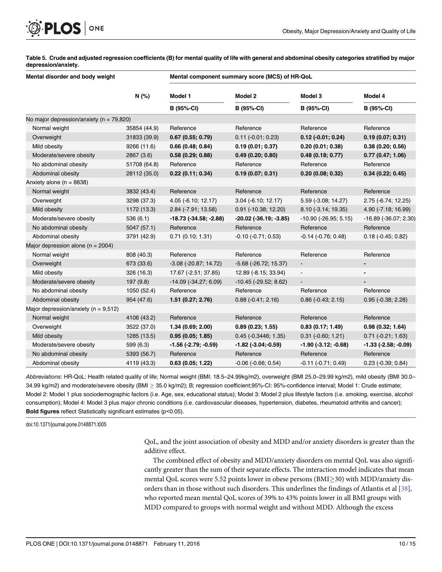# <span id="page-9-0"></span>PLOS ONE

[Table 5.](#page-7-0) Crude and adjusted regression coefficients (B) for mental quality of life with general and abdominal obesity categories stratified by major depression/anxiety.

| Mental disorder and body weight              |              | Mental component summary score (MCS) of HR-QoL |                                 |                          |                             |  |
|----------------------------------------------|--------------|------------------------------------------------|---------------------------------|--------------------------|-----------------------------|--|
|                                              | N (%)        | Model 1                                        | Model 2                         | Model 3                  | Model 4                     |  |
|                                              |              | <b>B</b> (95%-CI)                              | B (95%-CI)                      | <b>B</b> (95%-CI)        | <b>B</b> (95%-CI)           |  |
| No major depression/anxiety ( $n = 79,820$ ) |              |                                                |                                 |                          |                             |  |
| Normal weight                                | 35854 (44.9) | Reference                                      | Reference                       | Reference                | Reference                   |  |
| Overweight                                   | 31833 (39.9) | 0.67(0.55; 0.79)                               | $0.11 (-0.01; 0.23)$            | $0.12$ (-0.01; 0.24)     | 0.19(0.07; 0.31)            |  |
| Mild obesity                                 | 9266 (11.6)  | 0.66(0.48; 0.84)                               | 0.19(0.01; 0.37)                | 0.20(0.01; 0.38)         | 0.38(0.20; 0.56)            |  |
| Moderate/severe obesity                      | 2867(3.6)    | 0.58(0.29; 0.88)                               | 0.49(0.20; 0.80)                | 0.48(0.18; 0.77)         | 0.77(0.47; 1.06)            |  |
| No abdominal obesity                         | 51708 (64.8) | Reference                                      | Reference                       | Reference                | Reference                   |  |
| Abdominal obesity                            | 28112 (35.0) | 0.22(0.11; 0.34)                               | 0.19(0.07; 0.31)                | 0.20(0.08; 0.32)         | 0.34(0.22; 0.45)            |  |
| Anxiety alone ( $n = 8838$ )                 |              |                                                |                                 |                          |                             |  |
| Normal weight                                | 3832 (43.4)  | Reference                                      | Reference                       | Reference                | Reference                   |  |
| Overweight                                   | 3298 (37.3)  | $4.05$ (-6.10; 12.17)                          | $3.04$ (-6.10; 12.17)           | 5.59 (-3.08; 14.27)      | $2.75(-6.74; 12.25)$        |  |
| Mild obesity                                 | 1172 (13.3)  | 2.84 (-7.91; 13.58)                            | 0.91 (-10.38; 12.20)            | 8.10 (-3.14; 19.35)      | 4.90 (-7.18; 16.99)         |  |
| Moderate/severe obesity                      | 536(6.1)     | -18.73 (-34.58; -2.88)                         | $-20.02$ ( $-36.19$ ; $-3.85$ ) | $-10.90$ (-26.95; 5.15)  | -16.89 (-36.07; 2.30)       |  |
| No abdominal obesity                         | 5047 (57.1)  | Reference                                      | Reference                       | Reference                | Reference                   |  |
| Abdominal obesity                            | 3791 (42.9)  | 0.71(0.10; 1.31)                               | $-0.10$ $(-0.71; 0.53)$         | $-0.14$ $(-0.76; 0.48)$  | $0.18(-0.45; 0.82)$         |  |
| Major depression alone ( $n = 2004$ )        |              |                                                |                                 |                          |                             |  |
| Normal weight                                | 808 (40.3)   | Reference                                      | Reference                       | Reference                | Reference                   |  |
| Overweight                                   | 673 (33.6)   | $-3.08$ ( $-20.87$ ; 14.72)                    | $-5.68$ ( $-26.72$ ; 15.37)     | $\blacksquare$           | ۰                           |  |
| Mild obesity                                 | 326 (16.3)   | 17.67 (-2.51; 37.85)                           | 12.89 (-8.15; 33.94)            |                          |                             |  |
| Moderate/severe obesity                      | 197(9.8)     | $-14.09$ $(-34.27; 6.09)$                      | $-10.45$ ( $-29.52$ ; 8.62)     |                          |                             |  |
| No abdominal obesity                         | 1050 (52.4)  | Reference                                      | Reference                       | Reference                | Reference                   |  |
| Abdominal obesity                            | 954 (47.6)   | 1.51(0.27; 2.76)                               | $0.88(-0.41; 2.16)$             | $0.86$ ( $-0.43$ ; 2.15) | $0.95$ ( $-0.38$ ; 2.28)    |  |
| Major depression/anxiety ( $n = 9,512$ )     |              |                                                |                                 |                          |                             |  |
| Normal weight                                | 4106 (43.2)  | Reference                                      | Reference                       | Reference                | Reference                   |  |
| Overweight                                   | 3522 (37.0)  | 1.34 (0.69; 2.00)                              | 0.89(0.23; 1.55)                | 0.83(0.17; 1.49)         | 0.98(0.32; 1.64)            |  |
| Mild obesity                                 | 1285 (13.5)  | 0.95(0.05; 1.85)                               | $0.45$ ( $-0.3446$ ; 1.35)      | $0.31$ ( $-0.60$ ; 1.21) | $0.71$ ( $-0.21$ ; 1.63)    |  |
| Moderate/severe obesity                      | 599 (6.3)    | $-1.56$ ( $-2.79$ ; $-0.59$ )                  | $-1.82$ ( $-3.04$ ; $-0.59$ )   | $-1.90$ $(-3.12; -0.68)$ | $-1.33$ $(-2.58; -0.09)$    |  |
| No abdominal obesity                         | 5393 (56.7)  | Reference                                      | Reference                       | Reference                | Reference                   |  |
| Abdominal obesity                            | 4119 (43.3)  | 0.63(0.05; 1.22)                               | $-0.06$ $(-0.66; 0.54)$         | $-0.11(-0.71; 0.49)$     | $0.23$ ( $-0.39$ ; $0.84$ ) |  |

Abbreviations: HR-QoL: Health related quality of life; Normal weight (BMI: 18.5–24.99kg/m2), overweight (BMI 25.0–29.99 kg/m2), mild obesity (BMI 30.0– 34.99 kg/m2) and moderate/severe obesity (BMI  $\geq$  35.0 kg/m2); B; regression coefficient;95%-CI: 95%-confidence interval; Model 1: Crude estimate; Model 2: Model 1 plus sociodemographic factors (i.e. Age, sex, educational status); Model 3: Model 2 plus lifestyle factors (i.e. smoking, exercise, alcohol consumption); Model 4: Model 3 plus major chronic conditions (i.e. cardiovascular diseases, hypertension, diabetes, rheumatoid arthritis and cancer); Bold figures reflect Statistically significant estimates (p<0.05).

doi:10.1371/journal.pone.0148871.t005

QoL, and the joint association of obesity and MDD and/or anxiety disorders is greater than the additive effect.

The combined effect of obesity and MDD/anxiety disorders on mental QoL was also significantly greater than the sum of their separate effects. The interaction model indicates that mean mental QoL scores were 5.52 points lower in obese persons ( $BMI \geq 30$ ) with MDD/anxiety disorders than in those without such disorders. This underlines the findings of Atlantis et al [[38](#page-13-0)], who reported mean mental QoL scores of 39% to 43% points lower in all BMI groups with MDD compared to groups with normal weight and without MDD. Although the excess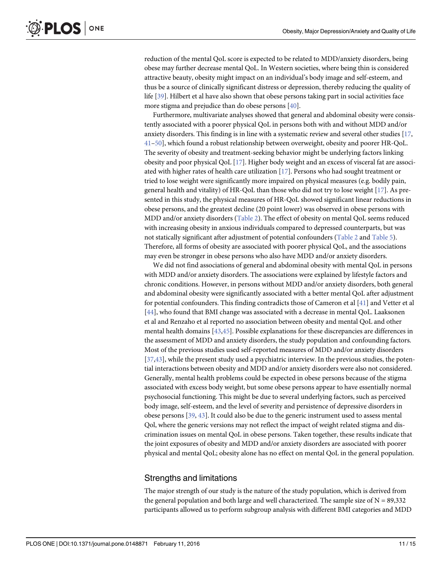<span id="page-10-0"></span>reduction of the mental QoL score is expected to be related to MDD/anxiety disorders, being obese may further decrease mental QoL. In Western societies, where being thin is considered attractive beauty, obesity might impact on an individual's body image and self-esteem, and thus be a source of clinically significant distress or depression, thereby reducing the quality of life [[39](#page-13-0)]. Hilbert et al have also shown that obese persons taking part in social activities face more stigma and prejudice than do obese persons [\[40](#page-14-0)].

Furthermore, multivariate analyses showed that general and abdominal obesity were consistently associated with a poorer physical QoL in persons both with and without MDD and/or anxiety disorders. This finding is in line with a systematic review and several other studies [\[17,](#page-12-0) [41](#page-14-0)–[50](#page-14-0)], which found a robust relationship between overweight, obesity and poorer HR-QoL. The severity of obesity and treatment-seeking behavior might be underlying factors linking obesity and poor physical QoL [\[17\]](#page-12-0). Higher body weight and an excess of visceral fat are associated with higher rates of health care utilization [[17](#page-12-0)]. Persons who had sought treatment or tried to lose weight were significantly more impaired on physical measures (e.g. bodily pain, general health and vitality) of HR-QoL than those who did not try to lose weight  $[17]$  $[17]$  $[17]$ . As presented in this study, the physical measures of HR-QoL showed significant linear reductions in obese persons, and the greatest decline (20 point lower) was observed in obese persons with MDD and/or anxiety disorders [\(Table 2\)](#page-6-0). The effect of obesity on mental QoL seems reduced with increasing obesity in anxious individuals compared to depressed counterparts, but was not statically significant after adjustment of potential confounders ([Table 2](#page-6-0) and [Table 5\)](#page-9-0). Therefore, all forms of obesity are associated with poorer physical QoL, and the associations may even be stronger in obese persons who also have MDD and/or anxiety disorders.

We did not find associations of general and abdominal obesity with mental QoL in persons with MDD and/or anxiety disorders. The associations were explained by lifestyle factors and chronic conditions. However, in persons without MDD and/or anxiety disorders, both general and abdominal obesity were significantly associated with a better mental QoL after adjustment for potential confounders. This finding contradicts those of Cameron et al [[41\]](#page-14-0) and Vetter et al [\[44](#page-14-0)], who found that BMI change was associated with a decrease in mental QoL. Laaksonen et al and Renzaho et al reported no association between obesity and mental QoL and other mental health domains [[43](#page-14-0),[45](#page-14-0)]. Possible explanations for these discrepancies are differences in the assessment of MDD and anxiety disorders, the study population and confounding factors. Most of the previous studies used self-reported measures of MDD and/or anxiety disorders [\[37](#page-13-0)[,43\]](#page-14-0), while the present study used a psychiatric interview. In the previous studies, the potential interactions between obesity and MDD and/or anxiety disorders were also not considered. Generally, mental health problems could be expected in obese persons because of the stigma associated with excess body weight, but some obese persons appear to have essentially normal psychosocial functioning. This might be due to several underlying factors, such as perceived body image, self-esteem, and the level of severity and persistence of depressive disorders in obese persons [[39](#page-13-0), [43](#page-14-0)]. It could also be due to the generic instrument used to assess mental Qol, where the generic versions may not reflect the impact of weight related stigma and discrimination issues on mental QoL in obese persons. Taken together, these results indicate that the joint exposures of obesity and MDD and/or anxiety disorders are associated with poorer physical and mental QoL; obesity alone has no effect on mental QoL in the general population.

#### Strengths and limitations

The major strength of our study is the nature of the study population, which is derived from the general population and both large and well characterized. The sample size of  $N = 89,332$ participants allowed us to perform subgroup analysis with different BMI categories and MDD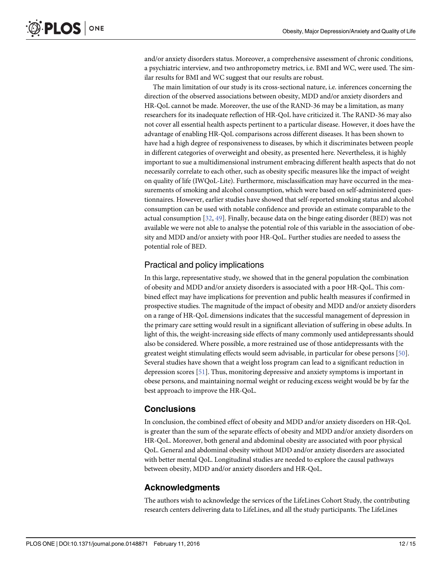<span id="page-11-0"></span>and/or anxiety disorders status. Moreover, a comprehensive assessment of chronic conditions, a psychiatric interview, and two anthropometry metrics, i.e. BMI and WC, were used. The similar results for BMI and WC suggest that our results are robust.

The main limitation of our study is its cross-sectional nature, i.e. inferences concerning the direction of the observed associations between obesity, MDD and/or anxiety disorders and HR-QoL cannot be made. Moreover, the use of the RAND-36 may be a limitation, as many researchers for its inadequate reflection of HR-QoL have criticized it. The RAND-36 may also not cover all essential health aspects pertinent to a particular disease. However, it does have the advantage of enabling HR-QoL comparisons across different diseases. It has been shown to have had a high degree of responsiveness to diseases, by which it discriminates between people in different categories of overweight and obesity, as presented here. Nevertheless, it is highly important to sue a multidimensional instrument embracing different health aspects that do not necessarily correlate to each other, such as obesity specific measures like the impact of weight on quality of life (IWQoL-Lite). Furthermore, misclassification may have occurred in the measurements of smoking and alcohol consumption, which were based on self-administered questionnaires. However, earlier studies have showed that self-reported smoking status and alcohol consumption can be used with notable confidence and provide an estimate comparable to the actual consumption [\[32,](#page-13-0) [49\]](#page-14-0). Finally, because data on the binge eating disorder (BED) was not available we were not able to analyse the potential role of this variable in the association of obesity and MDD and/or anxiety with poor HR-QoL. Further studies are needed to assess the potential role of BED.

#### Practical and policy implications

In this large, representative study, we showed that in the general population the combination of obesity and MDD and/or anxiety disorders is associated with a poor HR-QoL. This combined effect may have implications for prevention and public health measures if confirmed in prospective studies. The magnitude of the impact of obesity and MDD and/or anxiety disorders on a range of HR-QoL dimensions indicates that the successful management of depression in the primary care setting would result in a significant alleviation of suffering in obese adults. In light of this, the weight-increasing side effects of many commonly used antidepressants should also be considered. Where possible, a more restrained use of those antidepressants with the greatest weight stimulating effects would seem advisable, in particular for obese persons [[50](#page-14-0)]. Several studies have shown that a weight loss program can lead to a significant reduction in depression scores [[51](#page-14-0)]. Thus, monitoring depressive and anxiety symptoms is important in obese persons, and maintaining normal weight or reducing excess weight would be by far the best approach to improve the HR-QoL.

#### **Conclusions**

In conclusion, the combined effect of obesity and MDD and/or anxiety disorders on HR-QoL is greater than the sum of the separate effects of obesity and MDD and/or anxiety disorders on HR-QoL. Moreover, both general and abdominal obesity are associated with poor physical QoL. General and abdominal obesity without MDD and/or anxiety disorders are associated with better mental QoL. Longitudinal studies are needed to explore the causal pathways between obesity, MDD and/or anxiety disorders and HR-QoL.

#### Acknowledgments

The authors wish to acknowledge the services of the LifeLines Cohort Study, the contributing research centers delivering data to LifeLines, and all the study participants. The LifeLines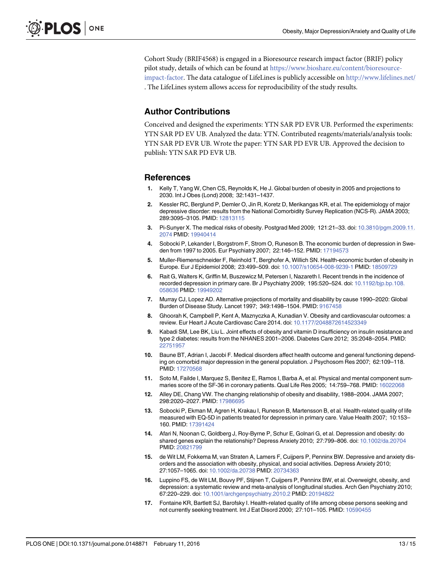<span id="page-12-0"></span>Cohort Study (BRIF4568) is engaged in a Bioresource research impact factor (BRIF) policy pilot study, details of which can be found at [https://www.bioshare.eu/content/bioresource](https://www.bioshare.eu/content/bioresource-impact-factor)[impact-factor](https://www.bioshare.eu/content/bioresource-impact-factor). The data catalogue of LifeLines is publicly accessible on <http://www.lifelines.net/> . The LifeLines system allows access for reproducibility of the study results.

#### Author Contributions

Conceived and designed the experiments: YTN SAR PD EVR UB. Performed the experiments: YTN SAR PD EV UB. Analyzed the data: YTN. Contributed reagents/materials/analysis tools: YTN SAR PD EVR UB. Wrote the paper: YTN SAR PD EVR UB. Approved the decision to publish: YTN SAR PD EVR UB.

#### References

- [1.](#page-1-0) Kelly T, Yang W, Chen CS, Reynolds K, He J. Global burden of obesity in 2005 and projections to 2030. Int J Obes (Lond) 2008; 32:1431–1437.
- [2.](#page-1-0) Kessler RC, Berglund P, Demler O, Jin R, Koretz D, Merikangas KR, et al. The epidemiology of major depressive disorder: results from the National Comorbidity Survey Replication (NCS-R). JAMA 2003; 289:3095–3105. PMID: [12813115](http://www.ncbi.nlm.nih.gov/pubmed/12813115)
- [3.](#page-1-0) Pi-Sunyer X. The medical risks of obesity. Postgrad Med 2009; 121:21–33. doi: [10.3810/pgm.2009.11.](http://dx.doi.org/10.3810/pgm.2009.11.2074) [2074](http://dx.doi.org/10.3810/pgm.2009.11.2074) PMID: [19940414](http://www.ncbi.nlm.nih.gov/pubmed/19940414)
- [4.](#page-1-0) Sobocki P, Lekander I, Borgstrom F, Strom O, Runeson B. The economic burden of depression in Swe-den from 1997 to 2005. Eur Psychiatry 2007; 22:146-152. PMID: [17194573](http://www.ncbi.nlm.nih.gov/pubmed/17194573)
- [5.](#page-1-0) Muller-Riemenschneider F, Reinhold T, Berghofer A, Willich SN. Health-economic burden of obesity in Europe. Eur J Epidemiol 2008; 23:499–509. doi: [10.1007/s10654-008-9239-1](http://dx.doi.org/10.1007/s10654-008-9239-1) PMID: [18509729](http://www.ncbi.nlm.nih.gov/pubmed/18509729)
- [6.](#page-1-0) Rait G, Walters K, Griffin M, Buszewicz M, Petersen I, Nazareth I. Recent trends in the incidence of recorded depression in primary care. Br J Psychiatry 2009; 195:520–524. doi: [10.1192/bjp.bp.108.](http://dx.doi.org/10.1192/bjp.bp.108.058636) [058636](http://dx.doi.org/10.1192/bjp.bp.108.058636) PMID: [19949202](http://www.ncbi.nlm.nih.gov/pubmed/19949202)
- [7.](#page-1-0) Murray CJ, Lopez AD. Alternative projections of mortality and disability by cause 1990–2020: Global Burden of Disease Study. Lancet 1997; 349:1498–1504. PMID: [9167458](http://www.ncbi.nlm.nih.gov/pubmed/9167458)
- [8.](#page-1-0) Ghoorah K, Campbell P, Kent A, Maznyczka A, Kunadian V. Obesity and cardiovascular outcomes: a review. Eur Heart J Acute Cardiovasc Care 2014. doi: [10.1177/2048872614523349](http://dx.doi.org/10.1177/2048872614523349)
- [9.](#page-1-0) Kabadi SM, Lee BK, Liu L. Joint effects of obesity and vitamin D insufficiency on insulin resistance and type 2 diabetes: results from the NHANES 2001–2006. Diabetes Care 2012; 35:2048–2054. PMID: [22751957](http://www.ncbi.nlm.nih.gov/pubmed/22751957)
- [10.](#page-1-0) Baune BT, Adrian I, Jacobi F. Medical disorders affect health outcome and general functioning depending on comorbid major depression in the general population. J Psychosom Res 2007; 62:109–118. PMID: [17270568](http://www.ncbi.nlm.nih.gov/pubmed/17270568)
- [11.](#page-1-0) Soto M, Failde I, Marquez S, Benitez E, Ramos I, Barba A, et al. Physical and mental component summaries score of the SF-36 in coronary patients. Qual Life Res 2005; 14:759–768. PMID: [16022068](http://www.ncbi.nlm.nih.gov/pubmed/16022068)
- [12.](#page-1-0) Alley DE, Chang VW. The changing relationship of obesity and disability, 1988–2004. JAMA 2007; 298:2020–2027. PMID: [17986695](http://www.ncbi.nlm.nih.gov/pubmed/17986695)
- [13.](#page-1-0) Sobocki P, Ekman M, Agren H, Krakau I, Runeson B, Martensson B, et al. Health-related quality of life measured with EQ-5D in patients treated for depression in primary care. Value Health 2007; 10:153– 160. PMID: [17391424](http://www.ncbi.nlm.nih.gov/pubmed/17391424)
- [14.](#page-1-0) Afari N, Noonan C, Goldberg J, Roy-Byrne P, Schur E, Golnari G, et al. Depression and obesity: do shared genes explain the relationship? Depress Anxiety 2010; 27:799–806. doi: [10.1002/da.20704](http://dx.doi.org/10.1002/da.20704) PMID: [20821799](http://www.ncbi.nlm.nih.gov/pubmed/20821799)
- 15. de Wit LM, Fokkema M, van Straten A, Lamers F, Cuijpers P, Penninx BW. Depressive and anxiety disorders and the association with obesity, physical, and social activities. Depress Anxiety 2010; 27:1057–1065. doi: [10.1002/da.20738](http://dx.doi.org/10.1002/da.20738) PMID: [20734363](http://www.ncbi.nlm.nih.gov/pubmed/20734363)
- [16.](#page-1-0) Luppino FS, de Wit LM, Bouvy PF, Stijnen T, Cuijpers P, Penninx BW, et al. Overweight, obesity, and depression: a systematic review and meta-analysis of longitudinal studies. Arch Gen Psychiatry 2010; 67:220–229. doi: [10.1001/archgenpsychiatry.2010.2](http://dx.doi.org/10.1001/archgenpsychiatry.2010.2) PMID: [20194822](http://www.ncbi.nlm.nih.gov/pubmed/20194822)
- [17.](#page-1-0) Fontaine KR, Bartlett SJ, Barofsky I. Health-related quality of life among obese persons seeking and not currently seeking treatment. Int J Eat Disord 2000; 27:101-105. PMID: [10590455](http://www.ncbi.nlm.nih.gov/pubmed/10590455)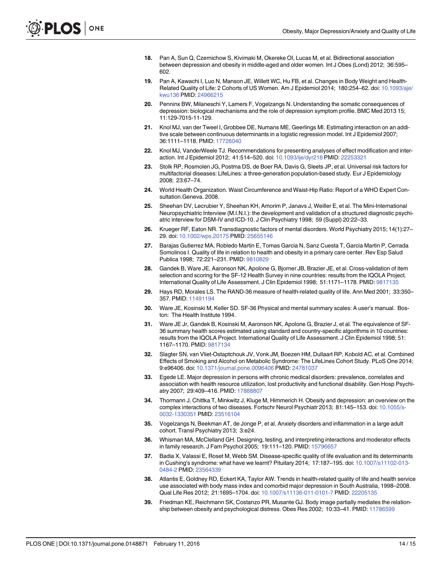- <span id="page-13-0"></span>[18.](#page-1-0) Pan A, Sun Q, Czernichow S, Kivimaki M, Okereke OI, Lucas M, et al. Bidirectional association between depression and obesity in middle-aged and older women. Int J Obes (Lond) 2012; 36:595– 602.
- [19.](#page-1-0) Pan A, Kawachi I, Luo N, Manson JE, Willett WC, Hu FB, et al. Changes in Body Weight and Health-Related Quality of Life: 2 Cohorts of US Women. Am J Epidemiol 2014; 180:254–62. doi: [10.1093/aje/](http://dx.doi.org/10.1093/aje/kwu136) [kwu136](http://dx.doi.org/10.1093/aje/kwu136) PMID: [24966215](http://www.ncbi.nlm.nih.gov/pubmed/24966215)
- [20.](#page-1-0) Penninx BW, Milaneschi Y, Lamers F, Vogelzangs N. Understanding the somatic consequences of depression: biological mechanisms and the role of depression symptom profile. BMC Med 2013 15; 11:129-7015-11-129.
- [21.](#page-2-0) Knol MJ, van der Tweel I, Grobbee DE, Numans ME, Geerlings MI. Estimating interaction on an additive scale between continuous determinants in a logistic regression model. Int J Epidemiol 2007; 36:1111–1118. PMID: [17726040](http://www.ncbi.nlm.nih.gov/pubmed/17726040)
- [22.](#page-2-0) Knol MJ, VanderWeele TJ. Recommendations for presenting analyses of effect modification and interaction. Int J Epidemiol 2012; 41:514–520. doi: [10.1093/ije/dyr218](http://dx.doi.org/10.1093/ije/dyr218) PMID: [22253321](http://www.ncbi.nlm.nih.gov/pubmed/22253321)
- [23.](#page-2-0) Stolk RP, Rosmolen JG, Postma DS, de Boer RA, Davis G, Sleets JP, et al. Universal risk factors for multifactorial diseases: LifeLines: a three-generation population-based study. Eur J Epidemiology 2008; 23:67–74.
- [24.](#page-3-0) World Health Organization. Waist Circumference and Waist-Hip Ratio: Report of a WHO Expert Consultation.Geneva. 2008.
- [25.](#page-3-0) Sheehan DV, Lecrubier Y, Sheehan KH, Amorim P, Janavs J, Weiller E, et al. The Mini-International Neuropsychiatric Interview (M.I.N.I.): the development and validation of a structured diagnostic psychiatric interview for DSM-IV and ICD-10. J Clin Psychiatry 1998; 59 (Suppl) 20:22–33.
- [26.](#page-3-0) Krueger RF, Eaton NR. Transdiagnostic factors of mental disorders. World Psychiatry 2015; 14(1):27– 29. doi: [10.1002/wps.20175](http://dx.doi.org/10.1002/wps.20175) PMID: [25655146](http://www.ncbi.nlm.nih.gov/pubmed/25655146)
- [27.](#page-3-0) Barajas Gutierrez MA, Robledo Martin E, Tomas Garcia N, Sanz Cuesta T, Garcia Martin P, Cerrada Somolinos I. Quality of life in relation to health and obesity in a primary care center. Rev Esp Salud Publica 1998; 72:221–231. PMID: [9810829](http://www.ncbi.nlm.nih.gov/pubmed/9810829)
- [28.](#page-3-0) Gandek B, Ware JE, Aaronson NK, Apolone G, Bjorner JB, Brazier JE, et al. Cross-validation of item selection and scoring for the SF-12 Health Survey in nine countries: results from the IQOLA Project. International Quality of Life Assessment. J Clin Epidemiol 1998; 51:1171–1178. PMID: [9817135](http://www.ncbi.nlm.nih.gov/pubmed/9817135)
- [29.](#page-3-0) Hays RD, Morales LS. The RAND-36 measure of health-related quality of life. Ann Med 2001; 33:350– 357. PMID: [11491194](http://www.ncbi.nlm.nih.gov/pubmed/11491194)
- [30.](#page-3-0) Ware JE, Kosinski M, Keller SD. SF-36 Physical and mental summary scales: A user's manual. Boston: The Health Institute 1994.
- [31.](#page-3-0) Ware JE Jr, Gandek B, Kosinski M, Aaronson NK, Apolone G, Brazier J, et al. The equivalence of SF-36 summary health scores estimated using standard and country-specific algorithms in 10 countries: results from the IQOLA Project. International Quality of Life Assessment. J Clin Epidemiol 1998; 51: 1167–1170. PMID: [9817134](http://www.ncbi.nlm.nih.gov/pubmed/9817134)
- [32.](#page-3-0) Slagter SN, van Vliet-Ostaptchouk JV, Vonk JM, Boezen HM, Dullaart RP, Kobold AC, et al. Combined Effects of Smoking and Alcohol on Metabolic Syndrome: The LifeLines Cohort Study. PLoS One 2014; 9:e96406. doi: [10.1371/journal.pone.0096406](http://dx.doi.org/10.1371/journal.pone.0096406) PMID: [24781037](http://www.ncbi.nlm.nih.gov/pubmed/24781037)
- [33.](#page-4-0) Egede LE. Major depression in persons with chronic medical disorders: prevalence, correlates and association with health resource utilization, lost productivity and functional disability. Gen Hosp Psychiatry 2007; 29:409–416. PMID: [17888807](http://www.ncbi.nlm.nih.gov/pubmed/17888807)
- [34.](#page-7-0) Thormann J, Chittka T, Minkwitz J, Kluge M, Himmerich H. Obesity and depression: an overview on the complex interactions of two diseases. Fortschr Neurol Psychiatr 2013; 81:145–153. doi: [10.1055/s-](http://dx.doi.org/10.1055/s-0032-1330351)[0032-1330351](http://dx.doi.org/10.1055/s-0032-1330351) PMID: [23516104](http://www.ncbi.nlm.nih.gov/pubmed/23516104)
- [35.](#page-8-0) Vogelzangs N, Beekman AT, de Jonge P, et al. Anxiety disorders and inflammation in a large adult cohort. Transl Psychiatry 2013; 3:e24.
- [36.](#page-8-0) Whisman MA, McClelland GH. Designing, testing, and interpreting interactions and moderator effects in family research. J Fam Psychol 2005; 19:111–120. PMID: [15796657](http://www.ncbi.nlm.nih.gov/pubmed/15796657)
- [37.](#page-8-0) Badia X, Valassi E, Roset M, Webb SM. Disease-specific quality of life evaluation and its determinants in Cushing's syndrome: what have we learnt? Pituitary 2014; 17:187–195. doi: [10.1007/s11102-013-](http://dx.doi.org/10.1007/s11102-013-0484-2) [0484-2](http://dx.doi.org/10.1007/s11102-013-0484-2) PMID: [23564339](http://www.ncbi.nlm.nih.gov/pubmed/23564339)
- [38.](#page-9-0) Atlantis E, Goldney RD, Eckert KA, Taylor AW. Trends in health-related quality of life and health service use associated with body mass index and comorbid major depression in South Australia, 1998–2008. Qual Life Res 2012; 21:1695–1704. doi: [10.1007/s11136-011-0101-7](http://dx.doi.org/10.1007/s11136-011-0101-7) PMID: [22205135](http://www.ncbi.nlm.nih.gov/pubmed/22205135)
- [39.](#page-10-0) Friedman KE, Reichmann SK, Costanzo PR, Musante GJ. Body image partially mediates the relation-ship between obesity and psychological distress. Obes Res 2002; 10:33-41. PMID: [11786599](http://www.ncbi.nlm.nih.gov/pubmed/11786599)